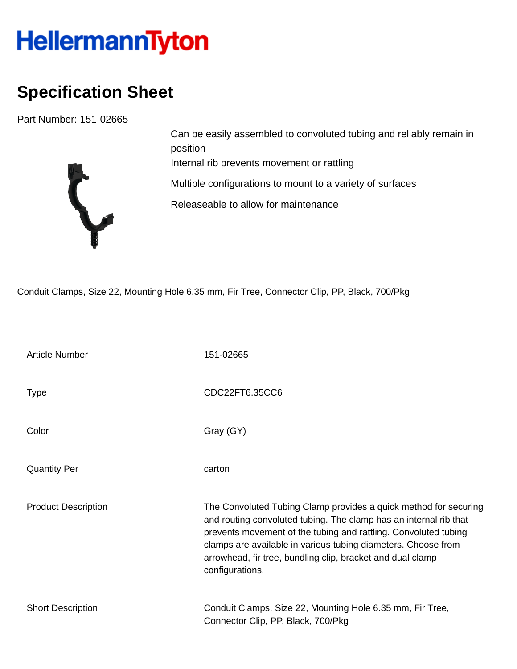## HellermannTyton

## **Specification Sheet**

Part Number: 151-02665



Can be easily assembled to convoluted tubing and reliably remain in position Internal rib prevents movement or rattling Multiple configurations to mount to a variety of surfaces Releaseable to allow for maintenance

Conduit Clamps, Size 22, Mounting Hole 6.35 mm, Fir Tree, Connector Clip, PP, Black, 700/Pkg

| <b>Article Number</b>      | 151-02665                                                                                                                                                                                                                                                                                                                                                  |
|----------------------------|------------------------------------------------------------------------------------------------------------------------------------------------------------------------------------------------------------------------------------------------------------------------------------------------------------------------------------------------------------|
| <b>Type</b>                | CDC22FT6.35CC6                                                                                                                                                                                                                                                                                                                                             |
| Color                      | Gray (GY)                                                                                                                                                                                                                                                                                                                                                  |
| <b>Quantity Per</b>        | carton                                                                                                                                                                                                                                                                                                                                                     |
| <b>Product Description</b> | The Convoluted Tubing Clamp provides a quick method for securing<br>and routing convoluted tubing. The clamp has an internal rib that<br>prevents movement of the tubing and rattling. Convoluted tubing<br>clamps are available in various tubing diameters. Choose from<br>arrowhead, fir tree, bundling clip, bracket and dual clamp<br>configurations. |
| <b>Short Description</b>   | Conduit Clamps, Size 22, Mounting Hole 6.35 mm, Fir Tree,<br>Connector Clip, PP, Black, 700/Pkg                                                                                                                                                                                                                                                            |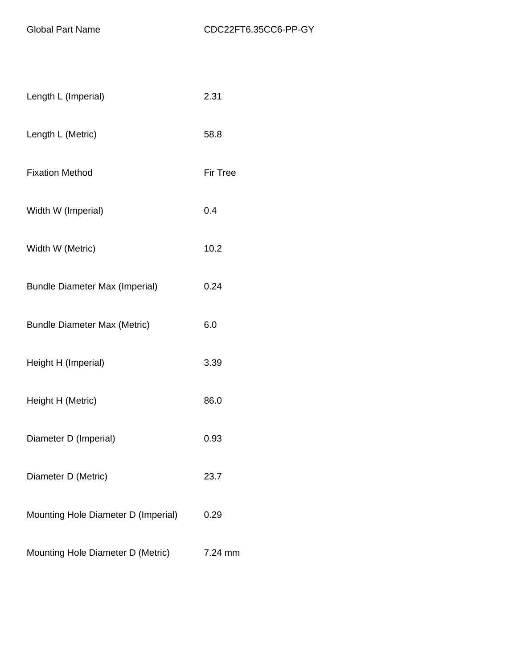| Length L (Imperial)                   | 2.31            |
|---------------------------------------|-----------------|
| Length L (Metric)                     | 58.8            |
| <b>Fixation Method</b>                | <b>Fir Tree</b> |
| Width W (Imperial)                    | 0.4             |
| Width W (Metric)                      | 10.2            |
| <b>Bundle Diameter Max (Imperial)</b> | 0.24            |
| <b>Bundle Diameter Max (Metric)</b>   | 6.0             |
| Height H (Imperial)                   | 3.39            |
| Height H (Metric)                     | 86.0            |
| Diameter D (Imperial)                 | 0.93            |
| Diameter D (Metric)                   | 23.7            |
| Mounting Hole Diameter D (Imperial)   | 0.29            |
| Mounting Hole Diameter D (Metric)     | 7.24 mm         |